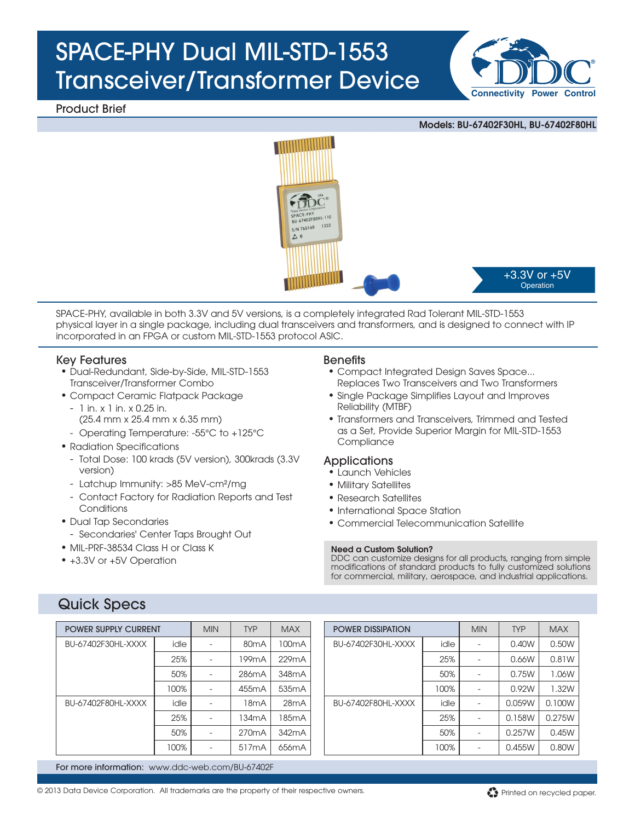# SPACE-PHY Dual MIL-STD-1553 Transceiver/Transformer Device

Product Brief





SPACE-PHY, available in both 3.3V and 5V versions, is a completely integrated Rad Tolerant MIL-STD-1553 physical layer in a single package, including dual transceivers and transformers, and is designed to connect with IP incorporated in an FPGA or custom MIL-STD-1553 protocol ASIC.

#### Key Features

- Dual-Redundant, Side-by-Side, MIL-STD-1553 Transceiver/Transformer Combo
- • Compact Ceramic Flatpack Package
	- 1 in. x 1 in. x 0.25 in. (25.4 mm x 25.4 mm x 6.35 mm)
	- Operating Temperature: -55°C to +125°C
- Radiation Specifications
	- Total Dose: 100 krads (5V version), 300krads (3.3V version)
	- Latchup Immunity: >85 MeV-cm²/mg
- Contact Factory for Radiation Reports and Test **Conditions**
- Dual Tap Secondaries
- Secondaries' Center Taps Brought Out
- MIL-PRF-38534 Class H or Class K
- +3.3V or +5V Operation

### **Benefits**

- Compact Integrated Design Saves Space... Replaces Two Transceivers and Two Transformers
- Single Package Simplifies Layout and Improves Reliability (MTBF)
- Transformers and Transceivers, Trimmed and Tested as a Set, Provide Superior Margin for MIL-STD-1553 **Compliance**

#### **Applications**

- • Launch Vehicles
- • Military Satellites
- Research Satellites
- International Space Station
- • Commercial Telecommunication Satellite

#### Need a Custom Solution?

DDC can customize designs for all products, ranging from simple modifications of standard products to fully customized solutions for commercial, military, aerospace, and industrial applications.

## Quick Specs

| <b>POWER SUPPLY CURRENT</b> |      | <b>MIN</b> | <b>TYP</b>         | <b>MAX</b>         |
|-----------------------------|------|------------|--------------------|--------------------|
| BU-67402F30HL-XXXX          | idle |            | 80mA               | 100 <sub>m</sub> A |
|                             | 25%  |            | 199 <sub>m</sub> A | 229mA              |
|                             | 50%  |            | 286mA              | 348mA              |
|                             | 100% |            | 455mA              | 535mA              |
| BU-67402F80HL-XXXX          | idle |            | 18mA               | 28mA               |
|                             | 25%  |            | 134 <sub>m</sub> A | 185 <sub>m</sub> A |
|                             | 50%  |            | 270 <sub>m</sub> A | 342mA              |
|                             | 100% |            | 517mA              | 656 <sub>m</sub> A |

| <b>POWER DISSIPATION</b> |      | <b>MIN</b> | <b>TYP</b> | <b>MAX</b> |
|--------------------------|------|------------|------------|------------|
| BU-67402F30HL-XXXX       | idle |            | 0.40W      | 0.50W      |
|                          | 25%  |            | 0.66W      | 0.81W      |
|                          | 50%  |            | 0.75W      | 1.06W      |
|                          | 100% |            | 0.92W      | 1.32W      |
| BU-67402F80HL-XXXX       | idle |            | 0.059W     | 0.100W     |
|                          | 25%  |            | 0.158W     | 0.275W     |
|                          | 50%  |            | 0.257W     | 0.45W      |
|                          | 100% |            | 0.455W     | 0.80W      |

For more information: www.ddc-web.com/BU-67402F